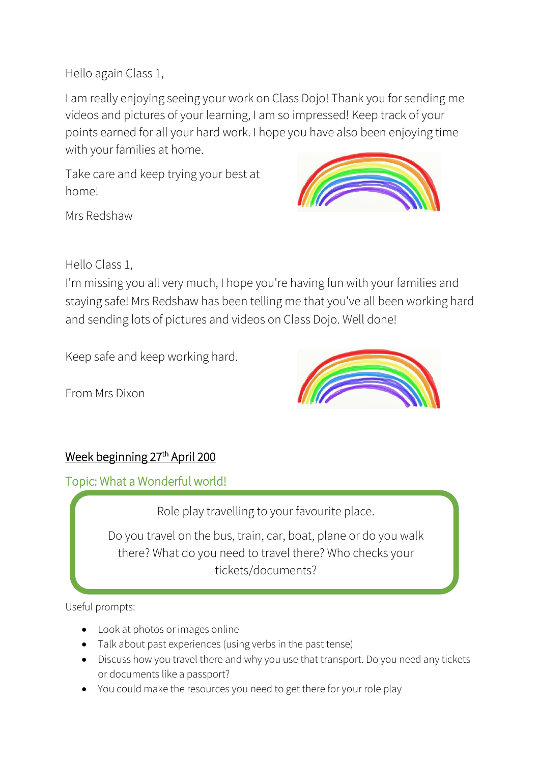Hello again Class 1,

I am really enjoying seeing your work on Class Dojo! Thank you for sending me videos and pictures of your learning, I am so impressed! Keep track of your points earned for all your hard work. I hope you have also been enjoying time with your families at home.

Take care and keep trying your best at home!



Mrs Redshaw

Hello Class 1,

I'm missing you all very much, I hope you're having fun with your families and staying safe! Mrs Redshaw has been telling me that you've all been working hard and sending lots of pictures and videos on Class Dojo. Well done!

Keep safe and keep working hard.

From Mrs Dixon



## Week beginning 27<sup>th</sup> April 200

Topic: What a Wonderful world!

Role play travelling to your favourite place.

Do you travel on the bus, train, car, boat, plane or do you walk there? What do you need to travel there? Who checks your tickets/documents?

Useful prompts:

- Look at photos or images online
- Talk about past experiences (using verbs in the past tense)
- Discuss how you travel there and why you use that transport. Do you need any tickets or documents like a passport?
- You could make the resources you need to get there for your role play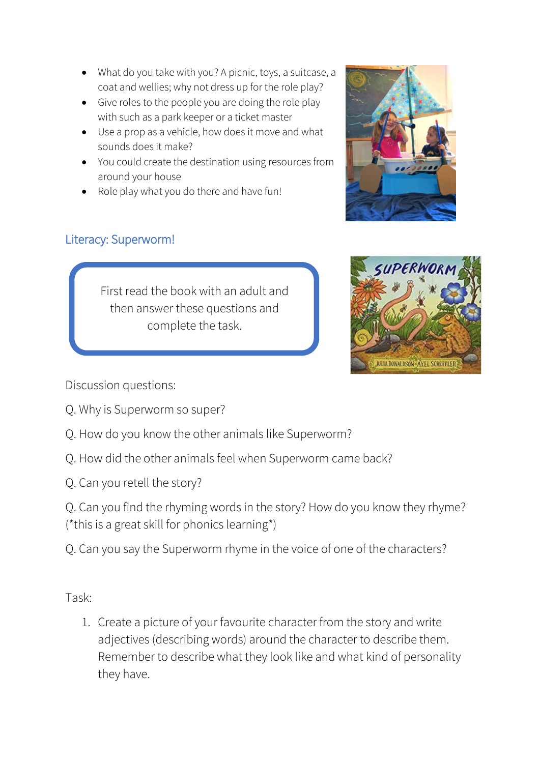- What do you take with you? A picnic, toys, a suitcase, a coat and wellies; why not dress up for the role play?
- Give roles to the people you are doing the role play with such as a park keeper or a ticket master
- Use a prop as a vehicle, how does it move and what sounds does it make?
- You could create the destination using resources from around your house
- Role play what you do there and have fun!



## Literacy: Superworm!

First read the book with an adult and then answer these questions and complete the task.



Discussion questions:

- Q. Why is Superworm so super?
- Q. How do you know the other animals like Superworm?
- Q. How did the other animals feel when Superworm came back?
- Q. Can you retell the story?

Q. Can you find the rhyming words in the story? How do you know they rhyme? (\*this is a great skill for phonics learning\*)

Q. Can you say the Superworm rhyme in the voice of one of the characters?

Task:

1. Create a picture of your favourite character from the story and write adjectives (describing words) around the character to describe them. Remember to describe what they look like and what kind of personality they have.